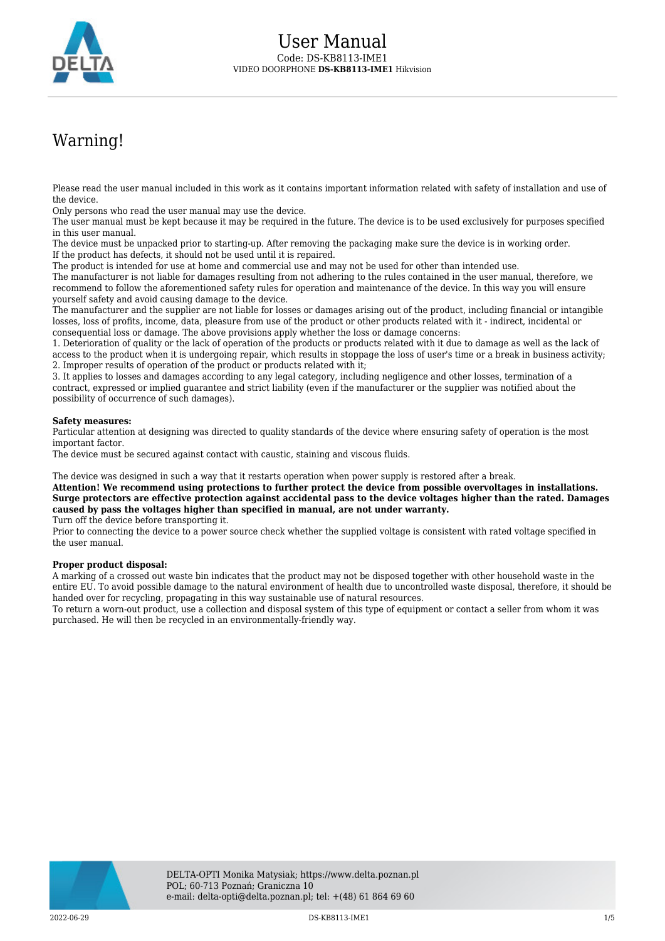

# Warning!

Please read the user manual included in this work as it contains important information related with safety of installation and use of the device.

Only persons who read the user manual may use the device.

The user manual must be kept because it may be required in the future. The device is to be used exclusively for purposes specified in this user manual.

The device must be unpacked prior to starting-up. After removing the packaging make sure the device is in working order. If the product has defects, it should not be used until it is repaired.

The product is intended for use at home and commercial use and may not be used for other than intended use.

The manufacturer is not liable for damages resulting from not adhering to the rules contained in the user manual, therefore, we recommend to follow the aforementioned safety rules for operation and maintenance of the device. In this way you will ensure yourself safety and avoid causing damage to the device.

The manufacturer and the supplier are not liable for losses or damages arising out of the product, including financial or intangible losses, loss of profits, income, data, pleasure from use of the product or other products related with it - indirect, incidental or consequential loss or damage. The above provisions apply whether the loss or damage concerns:

1. Deterioration of quality or the lack of operation of the products or products related with it due to damage as well as the lack of access to the product when it is undergoing repair, which results in stoppage the loss of user's time or a break in business activity; 2. Improper results of operation of the product or products related with it;

3. It applies to losses and damages according to any legal category, including negligence and other losses, termination of a contract, expressed or implied guarantee and strict liability (even if the manufacturer or the supplier was notified about the possibility of occurrence of such damages).

#### **Safety measures:**

Particular attention at designing was directed to quality standards of the device where ensuring safety of operation is the most important factor.

The device must be secured against contact with caustic, staining and viscous fluids.

The device was designed in such a way that it restarts operation when power supply is restored after a break.

**Attention! We recommend using protections to further protect the device from possible overvoltages in installations. Surge protectors are effective protection against accidental pass to the device voltages higher than the rated. Damages caused by pass the voltages higher than specified in manual, are not under warranty.**

Turn off the device before transporting it.

Prior to connecting the device to a power source check whether the supplied voltage is consistent with rated voltage specified in the user manual.

#### **Proper product disposal:**

A marking of a crossed out waste bin indicates that the product may not be disposed together with other household waste in the entire EU. To avoid possible damage to the natural environment of health due to uncontrolled waste disposal, therefore, it should be handed over for recycling, propagating in this way sustainable use of natural resources.

To return a worn-out product, use a collection and disposal system of this type of equipment or contact a seller from whom it was purchased. He will then be recycled in an environmentally-friendly way.

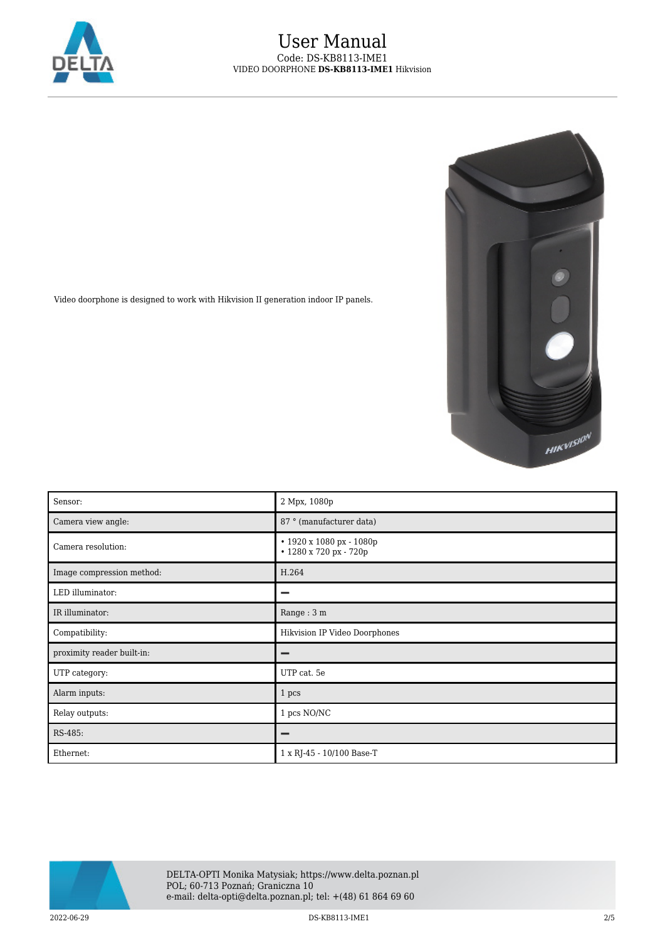

## User Manual Code: DS-KB8113-IME1 VIDEO DOORPHONE **DS-KB8113-IME1** Hikvision



Video doorphone is designed to work with Hikvision II generation indoor IP panels.

| Sensor:                    | 2 Mpx, 1080p                                       |
|----------------------------|----------------------------------------------------|
| Camera view angle:         | 87 ° (manufacturer data)                           |
| Camera resolution:         | • 1920 x 1080 px - 1080p<br>• 1280 x 720 px - 720p |
| Image compression method:  | H.264                                              |
| LED illuminator:           | -                                                  |
| IR illuminator:            | Range: 3 m                                         |
| Compatibility:             | Hikvision IP Video Doorphones                      |
| proximity reader built-in: | -                                                  |
| UTP category:              | UTP cat. 5e                                        |
| Alarm inputs:              | 1 pcs                                              |
| Relay outputs:             | 1 pcs NO/NC                                        |
| RS-485:                    | -                                                  |
| Ethernet:                  | 1 x RJ-45 - 10/100 Base-T                          |



2022-06-29 DS-KB8113-IME1 2/5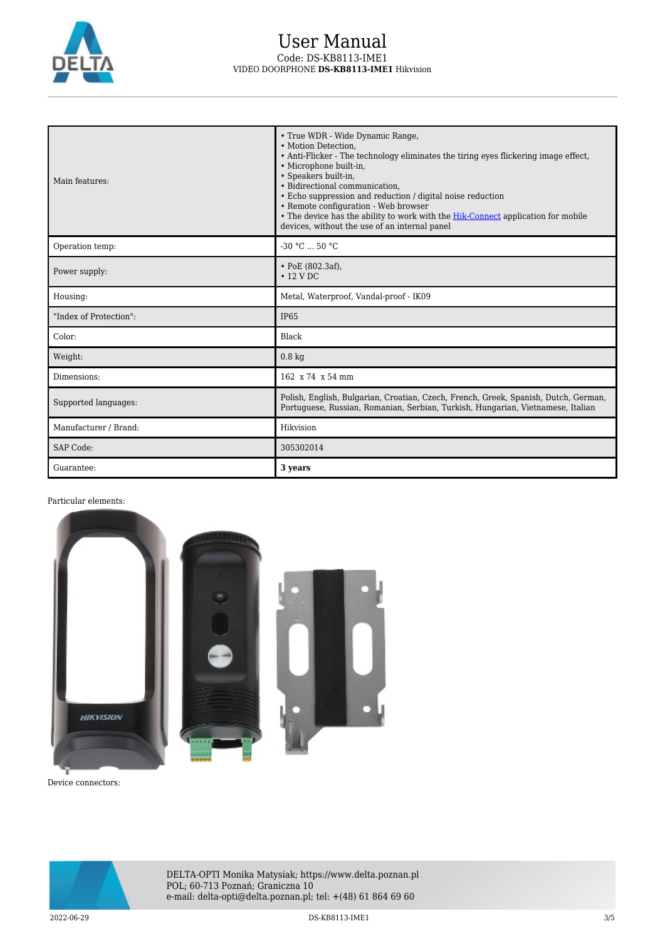

## User Manual Code: DS-KB8113-IME1 VIDEO DOORPHONE **DS-KB8113-IME1** Hikvision

| Main features:         | • True WDR - Wide Dynamic Range,<br>• Motion Detection.<br>• Anti-Flicker - The technology eliminates the tiring eyes flickering image effect,<br>• Microphone built-in,<br>· Speakers built-in,<br>· Bidirectional communication,<br>• Echo suppression and reduction / digital noise reduction<br>• Remote configuration - Web browser<br>• The device has the ability to work with the Hik-Connect application for mobile<br>devices, without the use of an internal panel |
|------------------------|-------------------------------------------------------------------------------------------------------------------------------------------------------------------------------------------------------------------------------------------------------------------------------------------------------------------------------------------------------------------------------------------------------------------------------------------------------------------------------|
| Operation temp:        | $-30 °C$ 50 °C                                                                                                                                                                                                                                                                                                                                                                                                                                                                |
| Power supply:          | • PoE (802.3af),<br>$\cdot$ 12 V DC                                                                                                                                                                                                                                                                                                                                                                                                                                           |
| Housing:               | Metal, Waterproof, Vandal-proof - IK09                                                                                                                                                                                                                                                                                                                                                                                                                                        |
| "Index of Protection": | <b>IP65</b>                                                                                                                                                                                                                                                                                                                                                                                                                                                                   |
| Color:                 | Black                                                                                                                                                                                                                                                                                                                                                                                                                                                                         |
| Weight:                | $0.8 \text{ kg}$                                                                                                                                                                                                                                                                                                                                                                                                                                                              |
| Dimensions:            | 162 x 74 x 54 mm                                                                                                                                                                                                                                                                                                                                                                                                                                                              |
| Supported languages:   | Polish, English, Bulgarian, Croatian, Czech, French, Greek, Spanish, Dutch, German,<br>Portuguese, Russian, Romanian, Serbian, Turkish, Hungarian, Vietnamese, Italian                                                                                                                                                                                                                                                                                                        |
| Manufacturer / Brand:  | Hikvision                                                                                                                                                                                                                                                                                                                                                                                                                                                                     |
| <b>SAP Code:</b>       | 305302014                                                                                                                                                                                                                                                                                                                                                                                                                                                                     |
| Guarantee:             | 3 years                                                                                                                                                                                                                                                                                                                                                                                                                                                                       |

### Particular elements:



Device connectors:

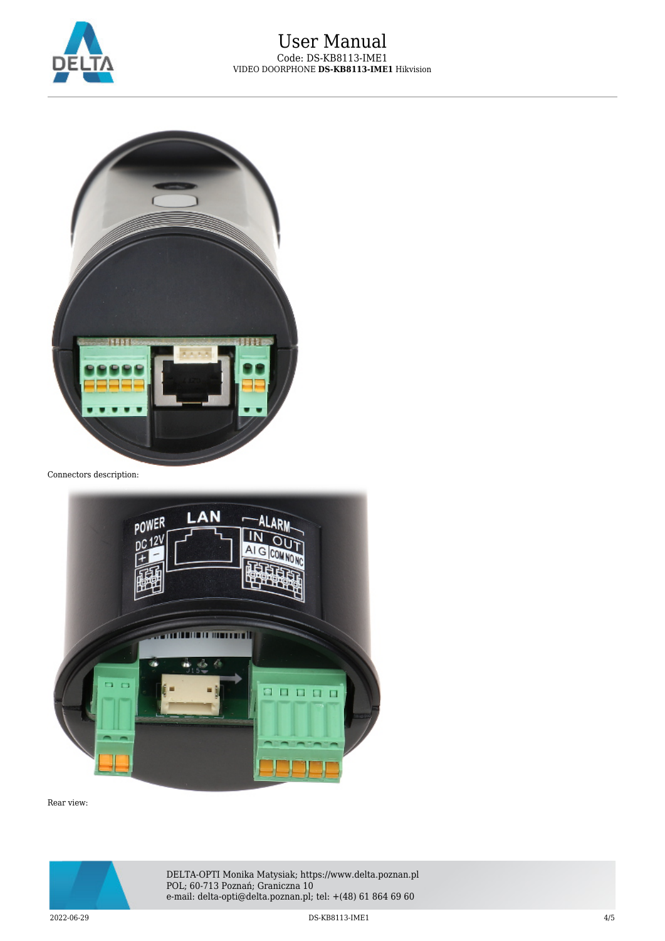



Connectors description:



Rear view:



DELTA-OPTI Monika Matysiak; https://www.delta.poznan.pl POL; 60-713 Poznań; Graniczna 10 e-mail: delta-opti@delta.poznan.pl; tel: +(48) 61 864 69 60

2022-06-29 DS-KB8113-IME1 4/5